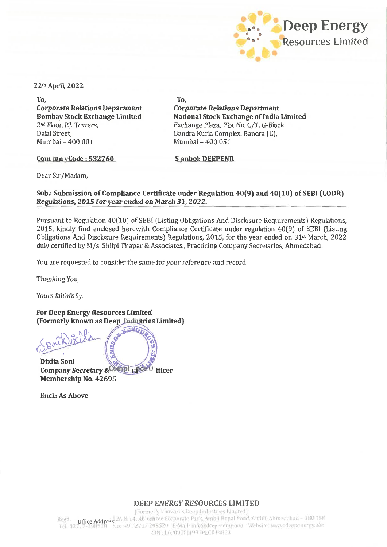

22th April, 2022

To. **Corporate Relations Department Bombay Stock Exchange Limited** 2<sup>nd</sup> Floor, P.J. Towers, Dalal Street. Mumbai - 400 001

To. **Corporate Relations Department National Stock Exchange of India Limited** Exchange Plaza, Plot No. C/1, G-Block Bandra Kurla Complex, Bandra (E). Mumbai - 400 051

Com  $\mu$ nn y Code : 532760

**Symbol: DEEPENR** 

Dear Sir/Madam,

Sub.: Submission of Compliance Certificate under Regulation 40(9) and 40(10) of SEBI (LODR) Regulations, 2015 for year ended on March 31, 2022.

Pursuant to Regulation 40(10) of SEBI (Listing Obligations And Disclosure Requirements) Regulations, 2015, kindly find enclosed herewith Compliance Certificate under regulation 40(9) of SEBI (Listing Obligations And Disclosure Requirements) Regulations, 2015, for the year ended on  $31<sup>st</sup>$  March, 2022 duly certified by M/s. Shilpi Thapar & Associates., Practicing Company Secretaries, Ahmedabad.

You are requested to consider the same for your reference and record.

Thanking You,

Yours faithfully,

**For Deep Energy Resources Limited** (Formerly known as Deep Industries Limited)

 $-280$ 

Dixita Soni Company Secretary & Compl 14th 0 fficer Membership No. 42695

**Encl.: As Above** 

DEEP ENERGY RESOURCES LIMITED

(Formerly known as Deep Industries Limited) Regd. **Office Address** 2A & 14, Abhishree Corporate Park, Ambli Bopal Road, Ambli, Ahmedabad - 380 058<br>Tel -02717-298510 Fax :+91 2717 298520 E-Mail- info@deepenergy.oog Website: www.deepenergy.oog Regd. CIN: L63090GJ1991PLC014833